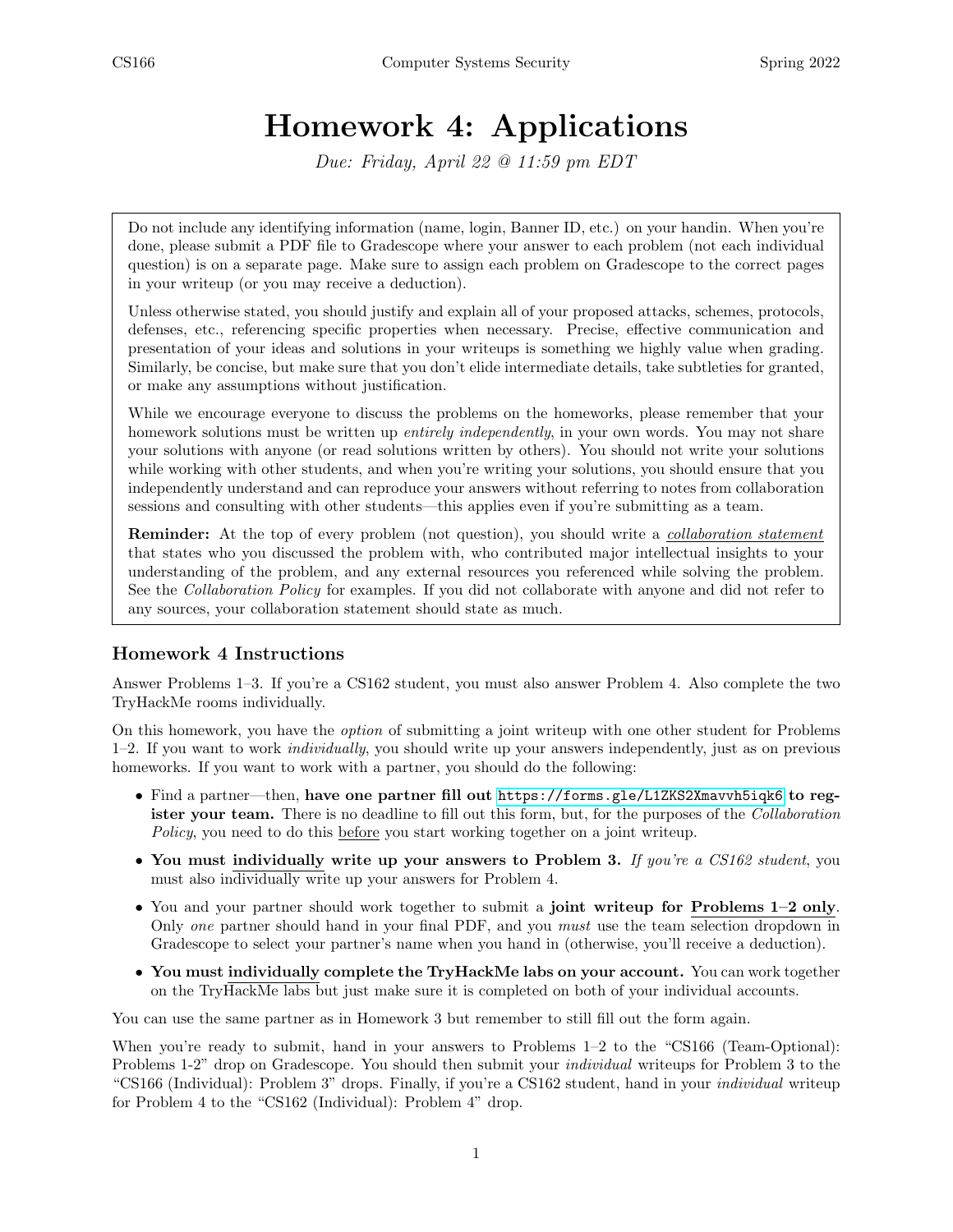# Homework 4: Applications

Due: Friday, April 22 @ 11:59 pm EDT

Do not include any identifying information (name, login, Banner ID, etc.) on your handin. When you're done, please submit a PDF file to Gradescope where your answer to each problem (not each individual question) is on a separate page. Make sure to assign each problem on Gradescope to the correct pages in your writeup (or you may receive a deduction).

Unless otherwise stated, you should justify and explain all of your proposed attacks, schemes, protocols, defenses, etc., referencing specific properties when necessary. Precise, effective communication and presentation of your ideas and solutions in your writeups is something we highly value when grading. Similarly, be concise, but make sure that you don't elide intermediate details, take subtleties for granted, or make any assumptions without justification.

While we encourage everyone to discuss the problems on the homeworks, please remember that your homework solutions must be written up *entirely independently*, in your own words. You may not share your solutions with anyone (or read solutions written by others). You should not write your solutions while working with other students, and when you're writing your solutions, you should ensure that you independently understand and can reproduce your answers without referring to notes from collaboration sessions and consulting with other students—this applies even if you're submitting as a team.

**Reminder:** At the top of every problem (not question), you should write a *collaboration statement* that states who you discussed the problem with, who contributed major intellectual insights to your understanding of the problem, and any external resources you referenced while solving the problem. See the Collaboration Policy for examples. If you did not collaborate with anyone and did not refer to any sources, your collaboration statement should state as much.

### Homework 4 Instructions

Answer Problems 1–3. If you're a CS162 student, you must also answer Problem 4. Also complete the two TryHackMe rooms individually.

On this homework, you have the option of submitting a joint writeup with one other student for Problems 1–2. If you want to work individually, you should write up your answers independently, just as on previous homeworks. If you want to work with a partner, you should do the following:

- Find a partner—then, have one partner fill out <https://forms.gle/L1ZKS2Xmavvh5iqk6> to register your team. There is no deadline to fill out this form, but, for the purposes of the *Collaboration* Policy, you need to do this before you start working together on a joint writeup.
- You must individually write up your answers to Problem 3. If you're a CS162 student, you must also individually write up your answers for Problem 4.
- You and your partner should work together to submit a joint writeup for Problems 1–2 only. Only one partner should hand in your final PDF, and you must use the team selection dropdown in Gradescope to select your partner's name when you hand in (otherwise, you'll receive a deduction).
- You must individually complete the TryHackMe labs on your account. You can work together on the TryHackMe labs but just make sure it is completed on both of your individual accounts.

You can use the same partner as in Homework 3 but remember to still fill out the form again.

When you're ready to submit, hand in your answers to Problems  $1-2$  to the "CS166 (Team-Optional): Problems 1-2" drop on Gradescope. You should then submit your individual writeups for Problem 3 to the "CS166 (Individual): Problem 3" drops. Finally, if you're a CS162 student, hand in your individual writeup for Problem 4 to the "CS162 (Individual): Problem 4" drop.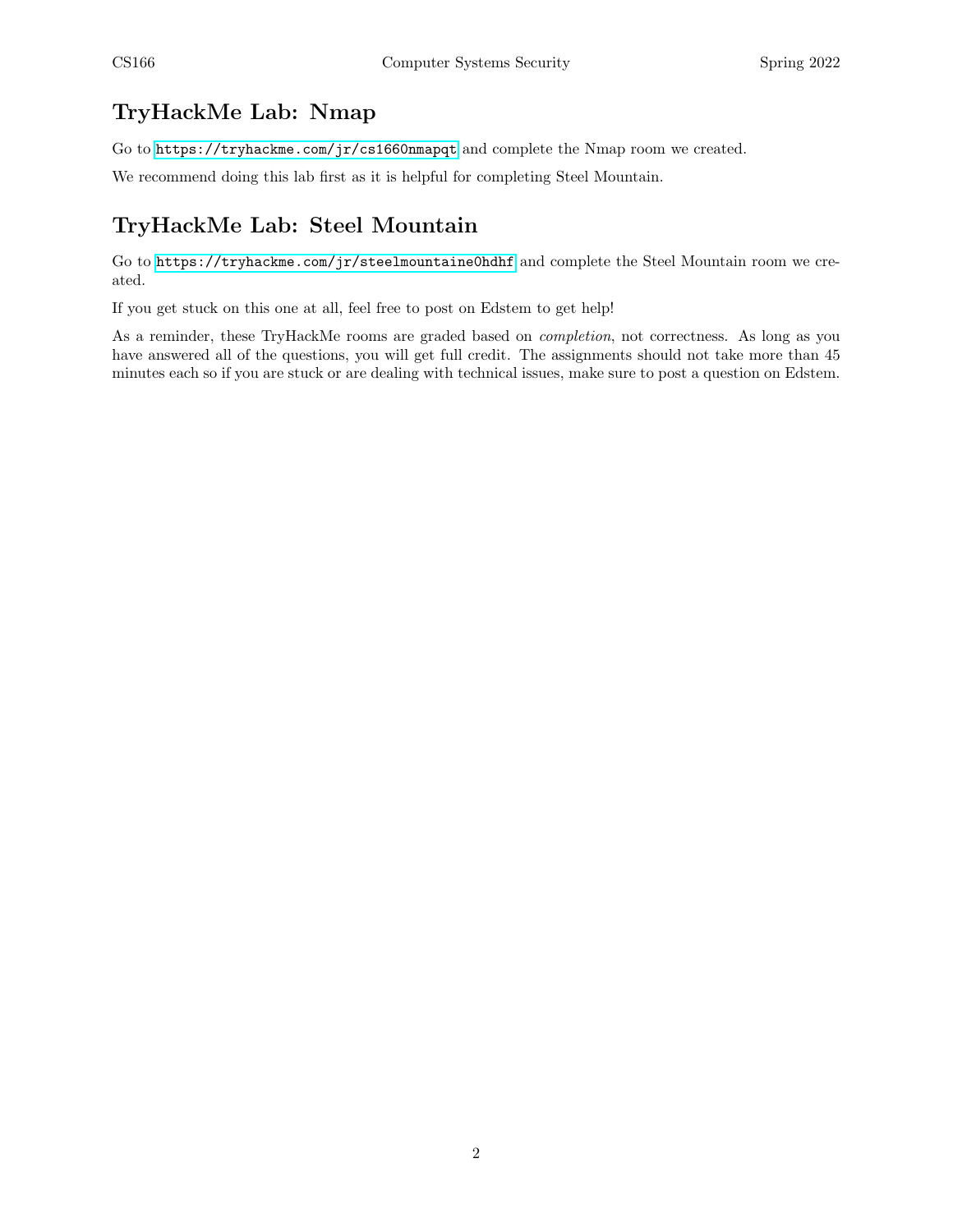# TryHackMe Lab: Nmap

Go to <https://tryhackme.com/jr/cs1660nmapqt> and complete the Nmap room we created.

We recommend doing this lab first as it is helpful for completing Steel Mountain.

# TryHackMe Lab: Steel Mountain

Go to <https://tryhackme.com/jr/steelmountaine0hdhf> and complete the Steel Mountain room we created.

If you get stuck on this one at all, feel free to post on Edstem to get help!

As a reminder, these TryHackMe rooms are graded based on completion, not correctness. As long as you have answered all of the questions, you will get full credit. The assignments should not take more than 45 minutes each so if you are stuck or are dealing with technical issues, make sure to post a question on Edstem.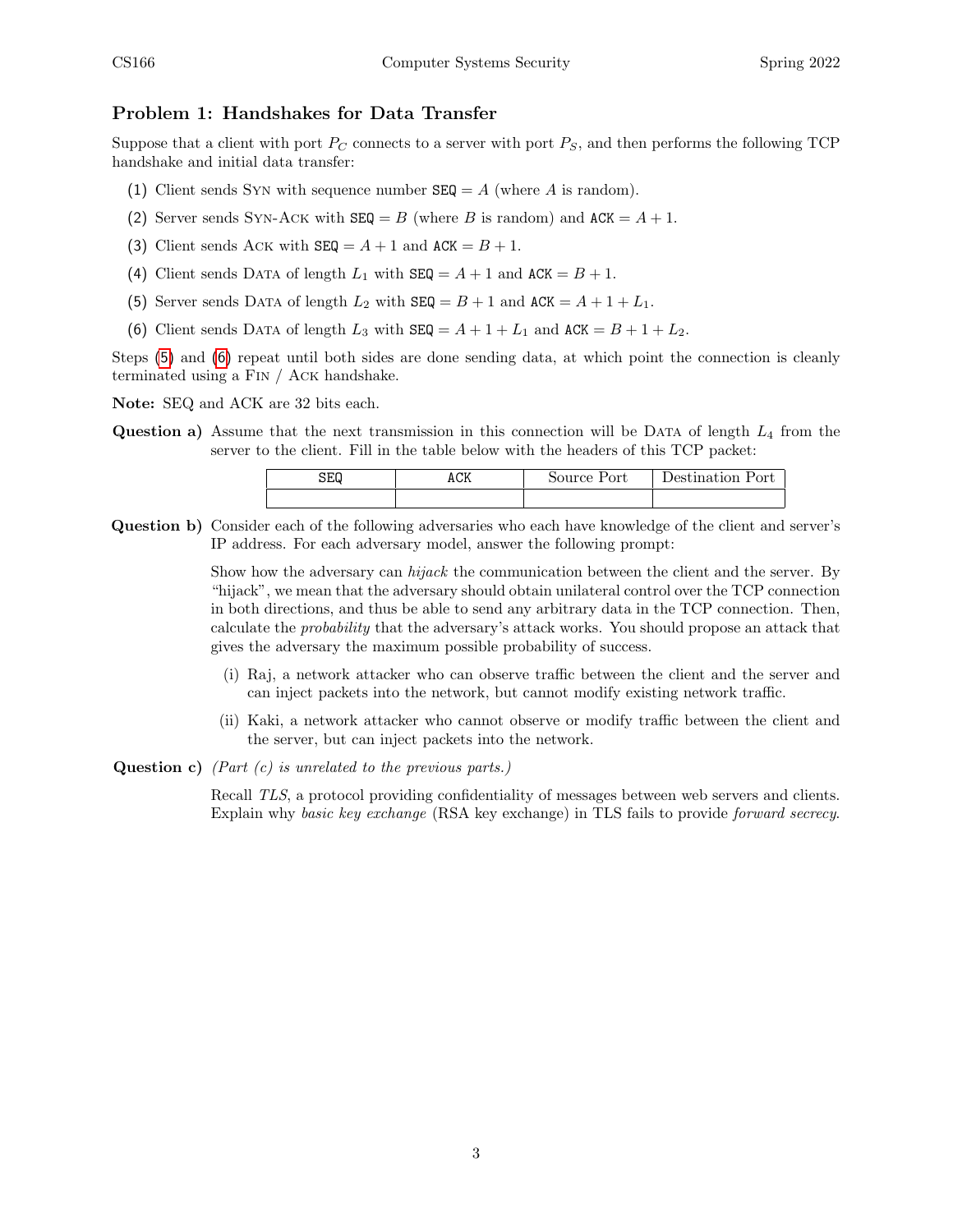### Problem 1: Handshakes for Data Transfer

Suppose that a client with port  $P_C$  connects to a server with port  $P_S$ , and then performs the following TCP handshake and initial data transfer:

- (1) Client sends Syn with sequence number  $SEQ = A$  (where A is random).
- (2) Server sends SYN-ACK with  $SEQ = B$  (where B is random) and  $ACK = A + 1$ .
- (3) Client sends Ack with  $SEQ = A + 1$  and  $ACK = B + 1$ .
- (4) Client sends DATA of length  $L_1$  with  $\texttt{SEQ} = A + 1$  and  $\texttt{ACK} = B + 1$ .
- <span id="page-2-0"></span>(5) Server sends DATA of length  $L_2$  with  $\texttt{SEQ} = B + 1$  and  $\texttt{ACK} = A + 1 + L_1$ .
- <span id="page-2-1"></span>(6) Client sends DATA of length  $L_3$  with  $\texttt{SEQ} = A + 1 + L_1$  and  $\texttt{ACK} = B + 1 + L_2$ .

Steps [\(5\)](#page-2-0) and [\(6\)](#page-2-1) repeat until both sides are done sending data, at which point the connection is cleanly terminated using a Fin / Ack handshake.

Note: SEQ and ACK are 32 bits each.

**Question a)** Assume that the next transmission in this connection will be DATA of length  $L_4$  from the server to the client. Fill in the table below with the headers of this TCP packet:

| SEQ | ACK | Source Port | 'Jestination Port |
|-----|-----|-------------|-------------------|
|     |     |             |                   |

Question b) Consider each of the following adversaries who each have knowledge of the client and server's IP address. For each adversary model, answer the following prompt:

> Show how the adversary can hijack the communication between the client and the server. By "hijack", we mean that the adversary should obtain unilateral control over the TCP connection in both directions, and thus be able to send any arbitrary data in the TCP connection. Then, calculate the probability that the adversary's attack works. You should propose an attack that gives the adversary the maximum possible probability of success.

- (i) Raj, a network attacker who can observe traffic between the client and the server and can inject packets into the network, but cannot modify existing network traffic.
- (ii) Kaki, a network attacker who cannot observe or modify traffic between the client and the server, but can inject packets into the network.
- **Question c)** (Part  $(c)$  is unrelated to the previous parts.)

Recall TLS, a protocol providing confidentiality of messages between web servers and clients. Explain why basic key exchange (RSA key exchange) in TLS fails to provide forward secrecy.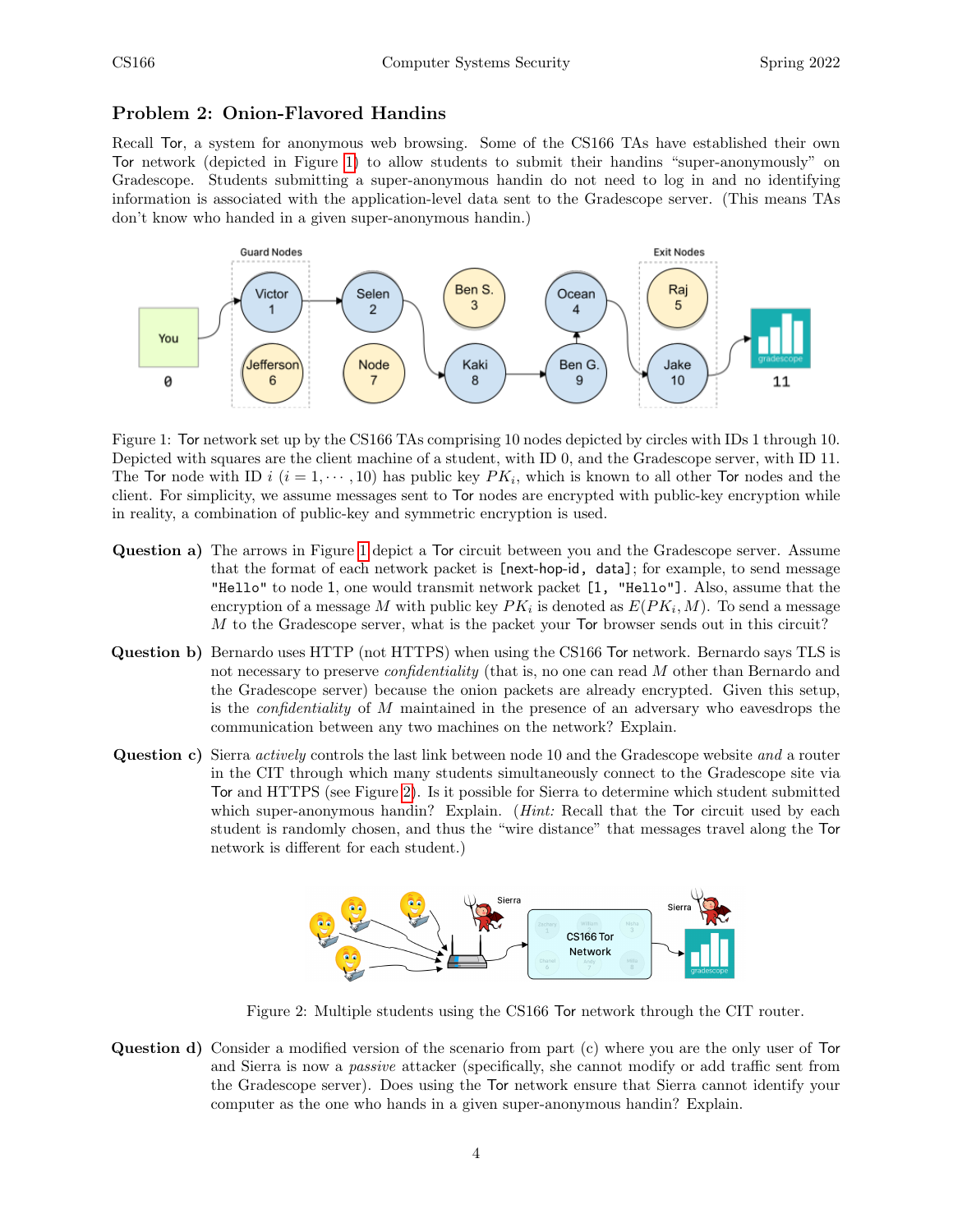### Problem 2: Onion-Flavored Handins

Recall Tor, a system for anonymous web browsing. Some of the CS166 TAs have established their own Tor network (depicted in Figure [1\)](#page-3-0) to allow students to submit their handins "super-anonymously" on Gradescope. Students submitting a super-anonymous handin do not need to log in and no identifying information is associated with the application-level data sent to the Gradescope server. (This means TAs don't know who handed in a given super-anonymous handin.)



<span id="page-3-0"></span>Figure 1: Tor network set up by the CS166 TAs comprising 10 nodes depicted by circles with IDs 1 through 10. Depicted with squares are the client machine of a student, with ID 0, and the Gradescope server, with ID 11. The Tor node with ID  $i$   $(i = 1, \dots, 10)$  has public key  $PK_i$ , which is known to all other Tor nodes and the client. For simplicity, we assume messages sent to Tor nodes are encrypted with public-key encryption while in reality, a combination of public-key and symmetric encryption is used.

- Question a) The arrows in Figure [1](#page-3-0) depict a Tor circuit between you and the Gradescope server. Assume that the format of each network packet is [next-hop-id, data]; for example, to send message "Hello" to node 1, one would transmit network packet [1, "Hello"]. Also, assume that the encryption of a message M with public key  $PK_i$  is denoted as  $E(PK_i, M)$ . To send a message M to the Gradescope server, what is the packet your Tor browser sends out in this circuit?
- Question b) Bernardo uses HTTP (not HTTPS) when using the CS166 Tor network. Bernardo says TLS is not necessary to preserve *confidentiality* (that is, no one can read M other than Bernardo and the Gradescope server) because the onion packets are already encrypted. Given this setup, is the confidentiality of M maintained in the presence of an adversary who eavesdrops the communication between any two machines on the network? Explain.
- Question c) Sierra *actively* controls the last link between node 10 and the Gradescope website and a router in the CIT through which many students simultaneously connect to the Gradescope site via Tor and HTTPS (see Figure [2\)](#page-3-1). Is it possible for Sierra to determine which student submitted which super-anonymous handin? Explain. (*Hint:* Recall that the Tor circuit used by each student is randomly chosen, and thus the "wire distance" that messages travel along the Tor network is different for each student.)



<span id="page-3-1"></span>Figure 2: Multiple students using the CS166 Tor network through the CIT router.

Question d) Consider a modified version of the scenario from part (c) where you are the only user of Tor and Sierra is now a passive attacker (specifically, she cannot modify or add traffic sent from the Gradescope server). Does using the Tor network ensure that Sierra cannot identify your computer as the one who hands in a given super-anonymous handin? Explain.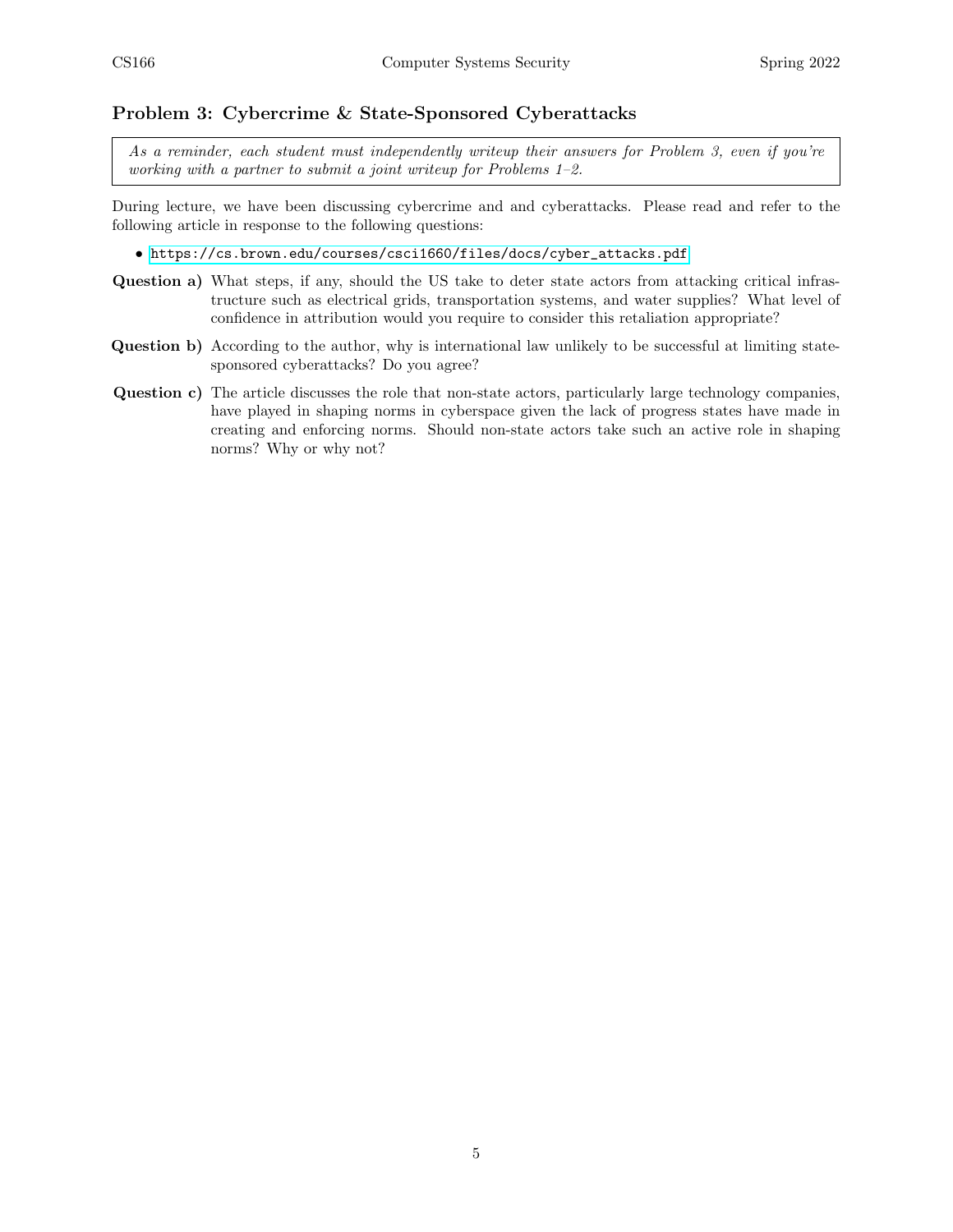#### Problem 3: Cybercrime & State-Sponsored Cyberattacks

As a reminder, each student must independently writeup their answers for Problem 3, even if you're working with a partner to submit a joint writeup for Problems 1–2.

During lecture, we have been discussing cybercrime and and cyberattacks. Please read and refer to the following article in response to the following questions:

• [https://cs.brown.edu/courses/csci1660/files/docs/cyber\\_attacks.pdf](https://cs.brown.edu/courses/csci1660/files/docs/cyber_attacks.pdf)

- Question a) What steps, if any, should the US take to deter state actors from attacking critical infrastructure such as electrical grids, transportation systems, and water supplies? What level of confidence in attribution would you require to consider this retaliation appropriate?
- Question b) According to the author, why is international law unlikely to be successful at limiting statesponsored cyberattacks? Do you agree?
- Question c) The article discusses the role that non-state actors, particularly large technology companies, have played in shaping norms in cyberspace given the lack of progress states have made in creating and enforcing norms. Should non-state actors take such an active role in shaping norms? Why or why not?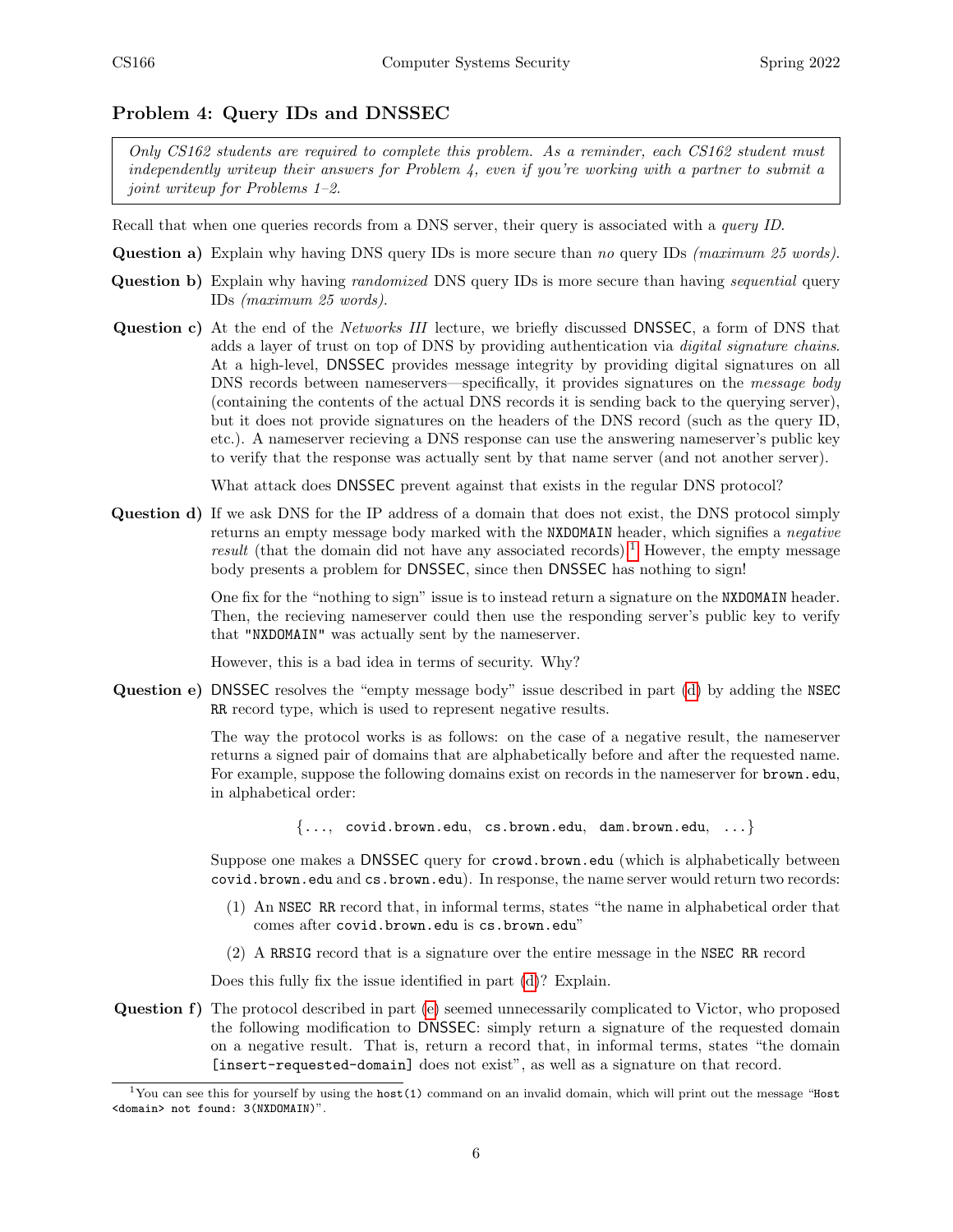#### Problem 4: Query IDs and DNSSEC

Only CS162 students are required to complete this problem. As a reminder, each CS162 student must independently writeup their answers for Problem  $\lambda$ , even if you're working with a partner to submit a joint writeup for Problems 1–2.

Recall that when one queries records from a DNS server, their query is associated with a *query ID*.

Question a) Explain why having DNS query IDs is more secure than no query IDs (maximum 25 words).

- Question b) Explain why having *randomized* DNS query IDs is more secure than having *sequential* query IDs (maximum 25 words).
- Question c) At the end of the Networks III lecture, we briefly discussed DNSSEC, a form of DNS that adds a layer of trust on top of DNS by providing authentication via digital signature chains. At a high-level, DNSSEC provides message integrity by providing digital signatures on all DNS records between nameservers—specifically, it provides signatures on the *message body* (containing the contents of the actual DNS records it is sending back to the querying server), but it does not provide signatures on the headers of the DNS record (such as the query ID, etc.). A nameserver recieving a DNS response can use the answering nameserver's public key to verify that the response was actually sent by that name server (and not another server).

What attack does DNSSEC prevent against that exists in the regular DNS protocol?

<span id="page-5-1"></span>Question d) If we ask DNS for the IP address of a domain that does not exist, the DNS protocol simply returns an empty message body marked with the NXDOMAIN header, which signifies a negative result (that the domain did not have any associated records).<sup>[1](#page-5-0)</sup> However, the empty message body presents a problem for DNSSEC, since then DNSSEC has nothing to sign!

> One fix for the "nothing to sign" issue is to instead return a signature on the NXDOMAIN header. Then, the recieving nameserver could then use the responding server's public key to verify that "NXDOMAIN" was actually sent by the nameserver.

However, this is a bad idea in terms of security. Why?

<span id="page-5-2"></span>Question e) DNSSEC resolves the "empty message body" issue described in part [\(d\)](#page-5-1) by adding the NSEC RR record type, which is used to represent negative results.

> The way the protocol works is as follows: on the case of a negative result, the nameserver returns a signed pair of domains that are alphabetically before and after the requested name. For example, suppose the following domains exist on records in the nameserver for **brown.edu**, in alphabetical order:

> > {..., covid.brown.edu, cs.brown.edu, dam.brown.edu, ...}

Suppose one makes a DNSSEC query for crowd.brown.edu (which is alphabetically between covid.brown.edu and cs.brown.edu). In response, the name server would return two records:

- (1) An NSEC RR record that, in informal terms, states "the name in alphabetical order that comes after covid.brown.edu is cs.brown.edu"
- (2) A RRSIG record that is a signature over the entire message in the NSEC RR record

Does this fully fix the issue identified in part [\(d\)](#page-5-1)? Explain.

Question f) The protocol described in part [\(e\)](#page-5-2) seemed unnecessarily complicated to Victor, who proposed the following modification to DNSSEC: simply return a signature of the requested domain on a negative result. That is, return a record that, in informal terms, states "the domain [insert-requested-domain] does not exist", as well as a signature on that record.

<span id="page-5-0"></span><sup>&</sup>lt;sup>1</sup>You can see this for yourself by using the host(1) command on an invalid domain, which will print out the message "Host <domain> not found: 3(NXDOMAIN)".